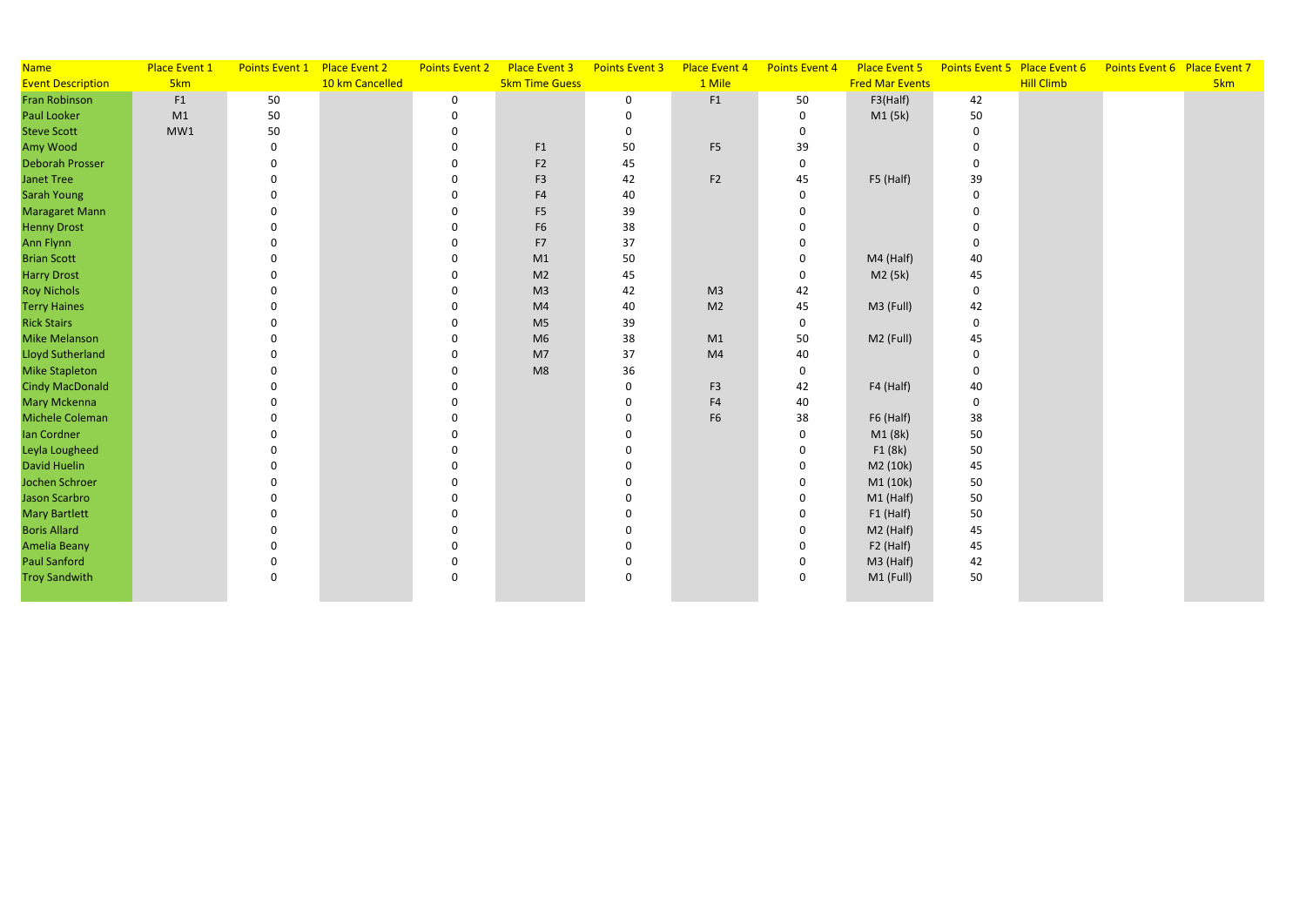| <b>Name</b>              | Place Event 1   | Points Event 1 Place Event 2 |                 | <b>Points Event 2</b> | Place Event 3         | <b>Points Event 3</b> | Place Event 4  | Points Event 4 | Place Event 5          | Points Event 5 Place Event 6 |                   | Points Event 6 Place Event 7 |     |
|--------------------------|-----------------|------------------------------|-----------------|-----------------------|-----------------------|-----------------------|----------------|----------------|------------------------|------------------------------|-------------------|------------------------------|-----|
| <b>Event Description</b> | 5 <sub>km</sub> |                              | 10 km Cancelled |                       | <b>5km Time Guess</b> |                       | 1 Mile         |                | <b>Fred Mar Events</b> |                              | <b>Hill Climb</b> |                              | 5km |
| <b>Fran Robinson</b>     | F1              | 50                           |                 | $\mathbf 0$           |                       | $\mathbf 0$           | F1             | 50             | F3(Half)               | 42                           |                   |                              |     |
| Paul Looker              | M1              | 50                           |                 | $\mathbf 0$           |                       | $\mathbf 0$           |                | $\mathbf 0$    | M1 (5k)                | 50                           |                   |                              |     |
| <b>Steve Scott</b>       | MW1             | 50                           |                 | 0                     |                       | $\mathbf 0$           |                | $\mathbf 0$    |                        | $\mathbf 0$                  |                   |                              |     |
| Amy Wood                 |                 | 0                            |                 | 0                     | F1                    | 50                    | F <sub>5</sub> | 39             |                        | $\mathbf{0}$                 |                   |                              |     |
| <b>Deborah Prosser</b>   |                 |                              |                 | $\Omega$              | F <sub>2</sub>        | 45                    |                | $\mathbf 0$    |                        | $\Omega$                     |                   |                              |     |
| <b>Janet Tree</b>        |                 |                              |                 | 0                     | F <sub>3</sub>        | 42                    | F <sub>2</sub> | 45             | F5 (Half)              | 39                           |                   |                              |     |
| <b>Sarah Young</b>       |                 |                              |                 | $\Omega$              | F4                    | 40                    |                | $\Omega$       |                        | $\Omega$                     |                   |                              |     |
| Maragaret Mann           |                 |                              |                 | $\Omega$              | F <sub>5</sub>        | 39                    |                |                |                        | $\Omega$                     |                   |                              |     |
| <b>Henny Drost</b>       |                 |                              |                 |                       | F <sub>6</sub>        | 38                    |                |                |                        | $\Omega$                     |                   |                              |     |
| Ann Flynn                |                 |                              |                 | 0                     | F7                    | 37                    |                |                |                        | $\Omega$                     |                   |                              |     |
| <b>Brian Scott</b>       |                 |                              |                 | $\Omega$              | M1                    | 50                    |                | <sup>0</sup>   | M4 (Half)              | 40                           |                   |                              |     |
| <b>Harry Drost</b>       |                 |                              |                 | $\mathbf 0$           | M <sub>2</sub>        | 45                    |                | $\Omega$       | M2 (5k)                | 45                           |                   |                              |     |
| <b>Roy Nichols</b>       |                 |                              |                 | $\mathbf 0$           | M <sub>3</sub>        | 42                    | M <sub>3</sub> | 42             |                        | $\mathbf 0$                  |                   |                              |     |
| <b>Terry Haines</b>      |                 |                              |                 |                       | M <sub>4</sub>        | 40                    | M <sub>2</sub> | 45             | M3 (Full)              | 42                           |                   |                              |     |
| <b>Rick Stairs</b>       |                 |                              |                 |                       | M <sub>5</sub>        | 39                    |                | $\mathbf 0$    |                        | $\mathbf 0$                  |                   |                              |     |
| <b>Mike Melanson</b>     |                 |                              |                 | O                     | M <sub>6</sub>        | 38                    | M1             | 50             | M2 (Full)              | 45                           |                   |                              |     |
| <b>Lloyd Sutherland</b>  |                 |                              |                 |                       | M <sub>7</sub>        | 37                    | M <sub>4</sub> | 40             |                        | $\Omega$                     |                   |                              |     |
| <b>Mike Stapleton</b>    |                 |                              |                 | $\Omega$              | M8                    | 36                    |                | $\mathbf 0$    |                        | $\Omega$                     |                   |                              |     |
| <b>Cindy MacDonald</b>   |                 |                              |                 | $\Omega$              |                       | $\mathbf 0$           | F <sub>3</sub> | 42             | F4 (Half)              | 40                           |                   |                              |     |
| Mary Mckenna             |                 |                              |                 |                       |                       | $\mathbf 0$           | F4             | 40             |                        | $\mathbf 0$                  |                   |                              |     |
| Michele Coleman          |                 |                              |                 | 0                     |                       | $\Omega$              | F <sub>6</sub> | 38             | F6 (Half)              | 38                           |                   |                              |     |
| Ian Cordner              |                 |                              |                 | 0                     |                       | $\Omega$              |                | $\Omega$       | M1 (8k)                | 50                           |                   |                              |     |
| Leyla Lougheed           |                 |                              |                 | 0                     |                       | $\Omega$              |                | $\Omega$       | F1(8k)                 | 50                           |                   |                              |     |
| <b>David Huelin</b>      |                 |                              |                 |                       |                       |                       |                |                | M2 (10k)               | 45                           |                   |                              |     |
| Jochen Schroer           |                 |                              |                 |                       |                       |                       |                |                | M1 (10k)               | 50                           |                   |                              |     |
| Jason Scarbro            |                 |                              |                 |                       |                       | $\Omega$              |                |                | $M1$ (Half)            | 50                           |                   |                              |     |
| <b>Mary Bartlett</b>     |                 |                              |                 |                       |                       | ∩                     |                |                | $F1$ (Half)            | 50                           |                   |                              |     |
| <b>Boris Allard</b>      |                 |                              |                 | O                     |                       | $\Omega$              |                |                | M2 (Half)              | 45                           |                   |                              |     |
| <b>Amelia Beany</b>      |                 |                              |                 | $\Omega$              |                       | $\Omega$              |                |                | F2 (Half)              | 45                           |                   |                              |     |
| <b>Paul Sanford</b>      |                 |                              |                 | 0                     |                       | $\mathbf 0$           |                |                | M3 (Half)              | 42                           |                   |                              |     |
| <b>Troy Sandwith</b>     |                 | $\Omega$                     |                 | 0                     |                       | $\mathbf 0$           |                | $\Omega$       | M1 (Full)              | 50                           |                   |                              |     |
|                          |                 |                              |                 |                       |                       |                       |                |                |                        |                              |                   |                              |     |